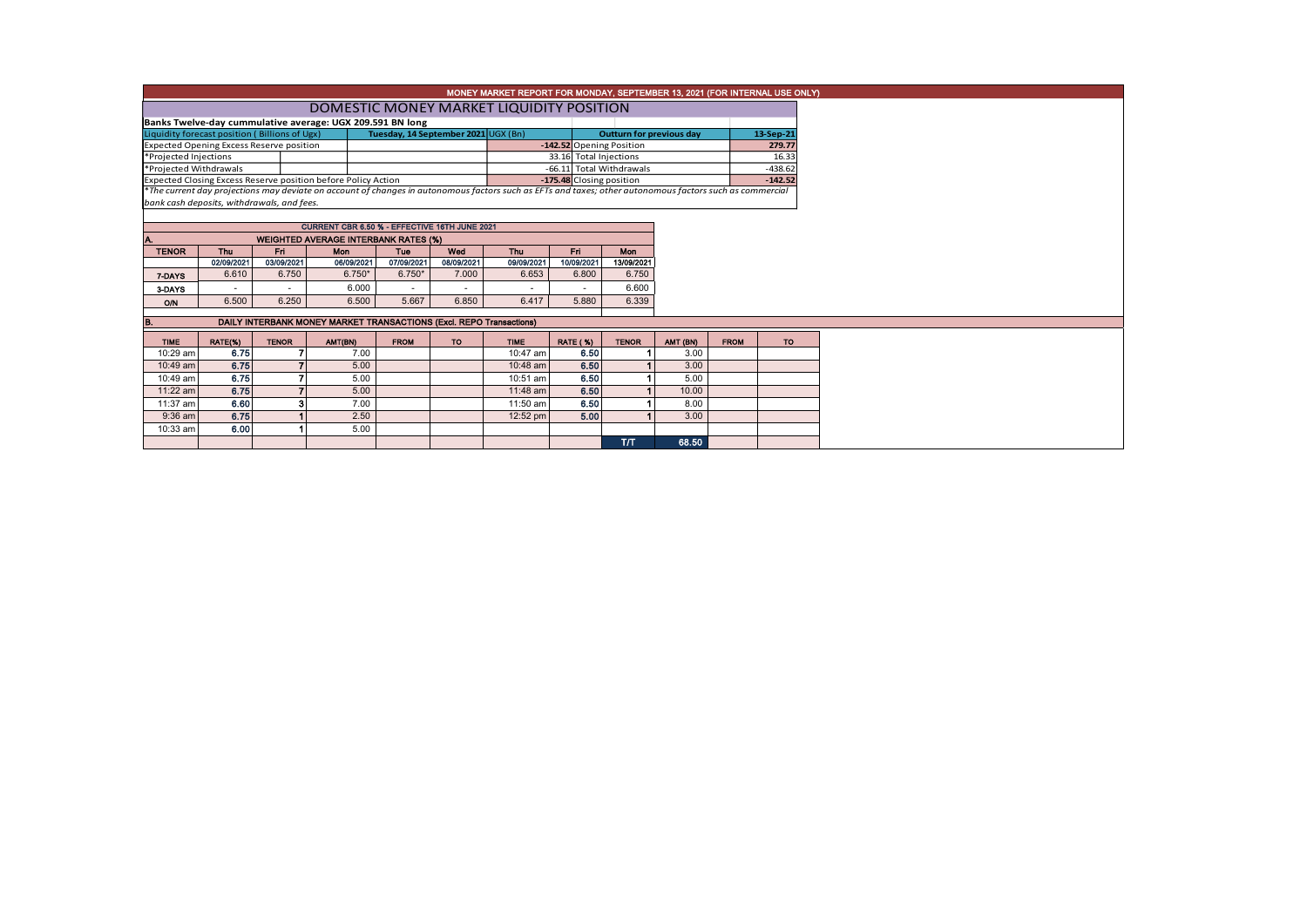|                                                           |                                                                     |                          |                                                               |                                     |                   | MONEY MARKET REPORT FOR MONDAY, SEPTEMBER 13, 2021 (FOR INTERNAL USE ONLY)                                                                               |                                 |                          |          |             |           |  |  |  |
|-----------------------------------------------------------|---------------------------------------------------------------------|--------------------------|---------------------------------------------------------------|-------------------------------------|-------------------|----------------------------------------------------------------------------------------------------------------------------------------------------------|---------------------------------|--------------------------|----------|-------------|-----------|--|--|--|
|                                                           |                                                                     |                          |                                                               |                                     |                   | DOMESTIC MONEY MARKET LIQUIDITY POSITION                                                                                                                 |                                 |                          |          |             |           |  |  |  |
| Banks Twelve-day cummulative average: UGX 209.591 BN long |                                                                     |                          |                                                               |                                     |                   |                                                                                                                                                          |                                 |                          |          |             |           |  |  |  |
| Liquidity forecast position (Billions of Ugx)             |                                                                     |                          |                                                               | Tuesday, 14 September 2021 UGX (Bn) |                   |                                                                                                                                                          | <b>Outturn for previous day</b> |                          |          | 13-Sep-21   |           |  |  |  |
| <b>Expected Opening Excess Reserve position</b>           |                                                                     |                          |                                                               |                                     |                   |                                                                                                                                                          |                                 | -142.52 Opening Position |          |             | 279.77    |  |  |  |
| *Projected Injections                                     |                                                                     |                          |                                                               |                                     |                   |                                                                                                                                                          |                                 | 33.16 Total Injections   | 16.33    |             |           |  |  |  |
| *Projected Withdrawals                                    |                                                                     |                          |                                                               |                                     |                   |                                                                                                                                                          |                                 | -66.11 Total Withdrawals |          |             | $-438.62$ |  |  |  |
|                                                           |                                                                     |                          | Expected Closing Excess Reserve position before Policy Action |                                     |                   |                                                                                                                                                          |                                 | -175.48 Closing position |          |             | $-142.52$ |  |  |  |
|                                                           |                                                                     |                          |                                                               |                                     |                   | *The current day projections may deviate on account of changes in autonomous factors such as EFTs and taxes; other autonomous factors such as commercial |                                 |                          |          |             |           |  |  |  |
| bank cash deposits, withdrawals, and fees.                |                                                                     |                          |                                                               |                                     |                   |                                                                                                                                                          |                                 |                          |          |             |           |  |  |  |
|                                                           |                                                                     |                          | CURRENT CBR 6.50 % - EFFECTIVE 16TH JUNE 2021                 |                                     |                   |                                                                                                                                                          |                                 |                          |          |             |           |  |  |  |
|                                                           |                                                                     |                          |                                                               |                                     |                   |                                                                                                                                                          |                                 |                          |          |             |           |  |  |  |
|                                                           |                                                                     |                          | <b>WEIGHTED AVERAGE INTERBANK RATES (%)</b><br>Mon            |                                     |                   |                                                                                                                                                          |                                 | <b>Mon</b>               |          |             |           |  |  |  |
| <b>TENOR</b>                                              | <b>Thu</b><br>02/09/2021                                            | Fri<br>03/09/2021        | 06/09/2021                                                    | Tue<br>07/09/2021                   | Wed<br>08/09/2021 | Thu<br>09/09/2021                                                                                                                                        | Fri<br>10/09/2021               | 13/09/2021               |          |             |           |  |  |  |
|                                                           | 6.610                                                               | 6.750                    | $6.750*$                                                      | $6.750*$                            | 7.000             | 6.653                                                                                                                                                    | 6.800                           | 6.750                    |          |             |           |  |  |  |
| 7-DAYS                                                    |                                                                     | $\overline{\phantom{a}}$ | 6.000                                                         | ٠                                   | ٠                 |                                                                                                                                                          |                                 | 6.600                    |          |             |           |  |  |  |
| 3-DAYS                                                    | $\sim$                                                              |                          |                                                               |                                     |                   |                                                                                                                                                          |                                 |                          |          |             |           |  |  |  |
| O/N                                                       | 6.500                                                               | 6.250                    | 6.500                                                         | 5.667                               | 6.850             | 6.417                                                                                                                                                    | 5.880                           | 6.339                    |          |             |           |  |  |  |
|                                                           | DAILY INTERBANK MONEY MARKET TRANSACTIONS (Excl. REPO Transactions) |                          |                                                               |                                     |                   |                                                                                                                                                          |                                 |                          |          |             |           |  |  |  |
|                                                           |                                                                     |                          |                                                               |                                     |                   |                                                                                                                                                          |                                 |                          |          |             |           |  |  |  |
| <b>TIME</b>                                               | RATE(%)                                                             | <b>TENOR</b>             | AMT(BN)                                                       | <b>FROM</b>                         | TO.               | <b>TIME</b>                                                                                                                                              | <b>RATE (%)</b>                 | <b>TENOR</b>             | AMT (BN) | <b>FROM</b> | TO.       |  |  |  |
| 10:29 am                                                  | 6.75                                                                |                          | 7.00                                                          |                                     |                   | 10:47 am                                                                                                                                                 |                                 | 6.50                     | 3.00     |             |           |  |  |  |
| 10:49 am                                                  | 6.75                                                                |                          | 5.00                                                          |                                     |                   | 10:48 am                                                                                                                                                 |                                 | 6.50                     | 3.00     |             |           |  |  |  |
| 10:49 am                                                  | 6.75                                                                |                          | 5.00                                                          |                                     |                   | 10:51 am                                                                                                                                                 |                                 | 6.50                     | 5.00     |             |           |  |  |  |
| 11:22 am                                                  | 6.75                                                                |                          | 5.00                                                          |                                     |                   | $11:48$ am                                                                                                                                               |                                 | 6.50                     | 10.00    |             |           |  |  |  |
| 11:37 am                                                  | 6.60                                                                | 3                        | 7.00                                                          |                                     |                   | 11:50 am                                                                                                                                                 |                                 | 6.50                     | 8.00     |             |           |  |  |  |
| 9:36 am                                                   | 6.75                                                                |                          | 2.50                                                          |                                     |                   | 12:52 pm                                                                                                                                                 |                                 | 5.00                     | 3.00     |             |           |  |  |  |
| 10:33 am                                                  | 6.00                                                                |                          | 5.00                                                          |                                     |                   |                                                                                                                                                          |                                 |                          |          |             |           |  |  |  |
|                                                           |                                                                     |                          |                                                               |                                     |                   |                                                                                                                                                          |                                 | TЛ                       | 68.50    |             |           |  |  |  |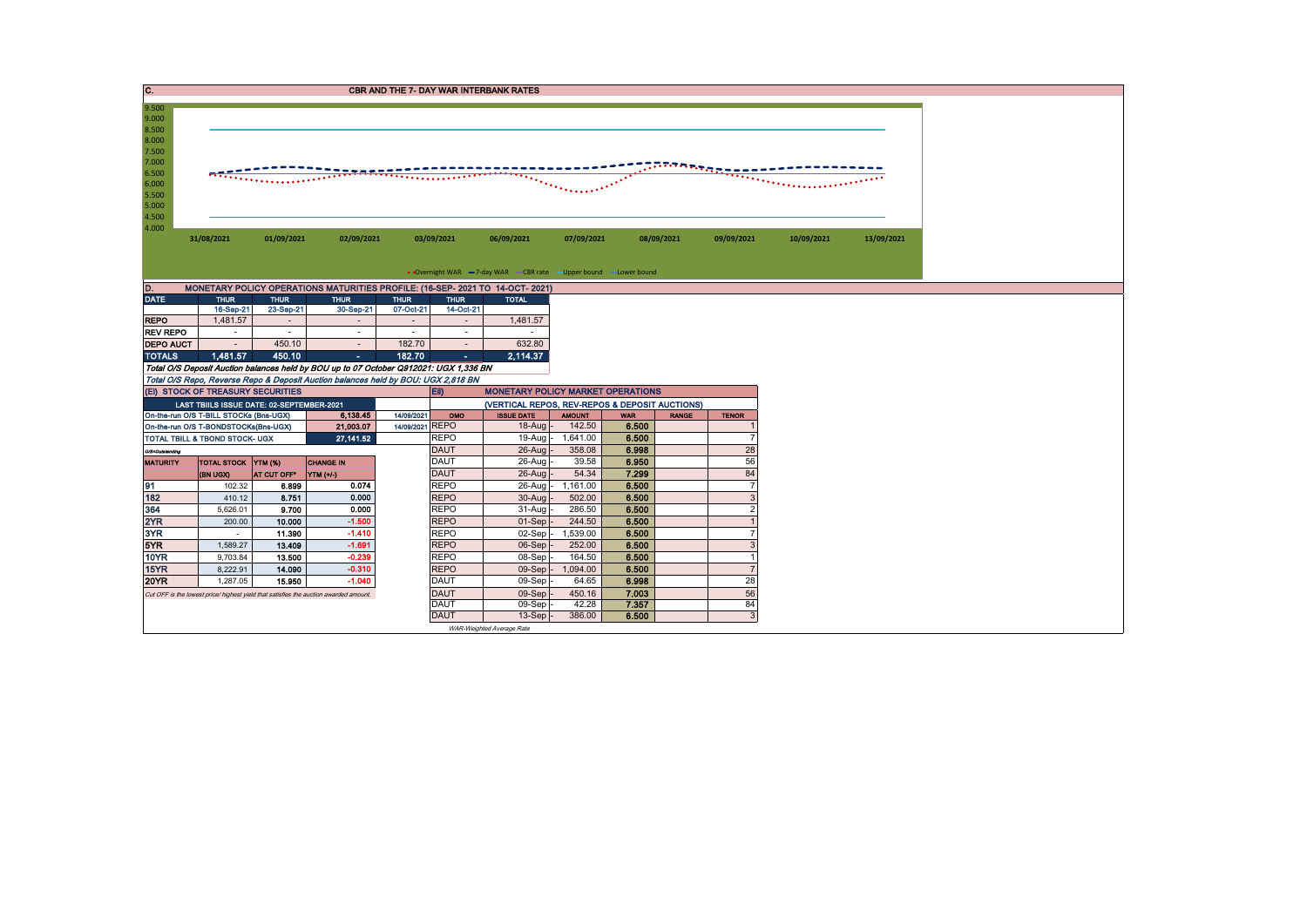| C.                                                                                     |                                                                        |                  |                                                                                       |                                       |                            | <b>CBR AND THE 7- DAY WAR INTERBANK RATES</b>                 |                                                                   |                     |                    |                |            |            |
|----------------------------------------------------------------------------------------|------------------------------------------------------------------------|------------------|---------------------------------------------------------------------------------------|---------------------------------------|----------------------------|---------------------------------------------------------------|-------------------------------------------------------------------|---------------------|--------------------|----------------|------------|------------|
| 9.500<br>9.000<br>8.500<br>8.000<br>7.500<br>7.000<br>6.500<br>6.000<br>5.500<br>5.000 |                                                                        |                  |                                                                                       | .                                     |                            |                                                               | $\mathcal{L}^{\text{max}}$ , and a set $\mathcal{L}^{\text{max}}$ |                     | <b>COMMANDADER</b> |                |            |            |
| 4.500<br>4.000                                                                         | 31/08/2021                                                             | 01/09/2021       | 02/09/2021                                                                            |                                       | 03/09/2021                 | 06/09/2021                                                    | 07/09/2021                                                        |                     | 08/09/2021         | 09/09/2021     | 10/09/2021 | 13/09/2021 |
|                                                                                        |                                                                        |                  |                                                                                       |                                       |                            | • Overnight WAR -7-day WAR CBR rate -Upper bound -Lower bound |                                                                   |                     |                    |                |            |            |
|                                                                                        |                                                                        |                  | MONETARY POLICY OPERATIONS MATURITIES PROFILE: (16-SEP- 2021 TO 14-OCT- 2021)         |                                       |                            |                                                               |                                                                   |                     |                    |                |            |            |
| <b>DATE</b>                                                                            | <b>THUR</b>                                                            | <b>THUR</b>      | <b>THUR</b>                                                                           | <b>THUR</b>                           | <b>THUR</b>                | <b>TOTAL</b>                                                  |                                                                   |                     |                    |                |            |            |
| <b>REPO</b>                                                                            | 16-Sep-21<br>1,481.57                                                  | 23-Sep-21        | 30-Sep-21                                                                             | 07-Oct-21<br>$\overline{\phantom{a}}$ | 14-Oct-21                  | 1,481.57                                                      |                                                                   |                     |                    |                |            |            |
| <b>REV REPO</b>                                                                        | $\sim$                                                                 | $\sim$           | $\sim$                                                                                | $\overline{\phantom{a}}$              | $\sim$                     | $\sim$                                                        |                                                                   |                     |                    |                |            |            |
| <b>DEPO AUCT</b>                                                                       | $\sim$                                                                 | 450.10           | $\overline{a}$                                                                        | 182.70                                | $\sim$                     | 632.80                                                        |                                                                   |                     |                    |                |            |            |
| <b>TOTALS</b>                                                                          | 1.481.57                                                               | 450.10           | ×.                                                                                    | 182.70                                |                            | 2.114.37                                                      |                                                                   |                     |                    |                |            |            |
|                                                                                        |                                                                        |                  | Total O/S Deposit Auction balances held by BOU up to 07 October Q912021: UGX 1,336 BN |                                       |                            |                                                               |                                                                   |                     |                    |                |            |            |
|                                                                                        |                                                                        |                  | Total O/S Repo, Reverse Repo & Deposit Auction balances held by BOU: UGX 2,818 BN     |                                       |                            |                                                               |                                                                   |                     |                    |                |            |            |
|                                                                                        | (EI) STOCK OF TREASURY SECURITIES                                      |                  |                                                                                       |                                       | <b>EII</b> )               | <b>MONETARY POLICY MARKET OPERATIONS</b>                      |                                                                   |                     |                    |                |            |            |
|                                                                                        | LAST TBIILS ISSUE DATE: 02-SEPTEMBER-2021                              |                  |                                                                                       |                                       |                            | (VERTICAL REPOS, REV-REPOS & DEPOSIT AUCTIONS)                |                                                                   |                     |                    |                |            |            |
|                                                                                        | On-the-run O/S T-BILL STOCKs (Bns-UGX)                                 |                  | 6,138.45                                                                              | 14/09/2021<br>14/09/2021 REPO         | OMO                        | <b>ISSUE DATE</b><br>$18-Auq$                                 | <b>AMOUNT</b><br>142.50                                           | <b>WAR</b><br>6.500 | <b>RANGE</b>       | <b>TENOR</b>   |            |            |
|                                                                                        | On-the-run O/S T-BONDSTOCKs(Bns-UGX)<br>TOTAL TBILL & TBOND STOCK- UGX |                  | 21,003.07<br>27, 141.52                                                               |                                       | <b>REPO</b>                | $19-Auq -$                                                    | 1,641.00                                                          | 6.500               |                    | $\overline{7}$ |            |            |
| <b>O/S-Outstanding</b>                                                                 |                                                                        |                  |                                                                                       |                                       | <b>DAUT</b>                | $26$ -Aug $-$                                                 | 358.08                                                            | 6.998               |                    | 28             |            |            |
| <b>MATURITY</b>                                                                        | TOTAL STOCK YTM (%)                                                    |                  | <b>CHANGE IN</b>                                                                      |                                       | <b>DAUT</b>                | 26-Aug                                                        | 39.58                                                             | 6.950               |                    | 56             |            |            |
|                                                                                        | (BN UGX)                                                               | AT CUT OFF*      | <b>YTM</b> (+/-)                                                                      |                                       | <b>DAUT</b>                | $26$ -Aug                                                     | 54.34                                                             | 7.299               |                    | 84             |            |            |
| 91                                                                                     | 102.32                                                                 | 6.899            | 0.074                                                                                 |                                       | <b>REPO</b>                | 26-Aug -                                                      | 1,161.00                                                          | 6.500               |                    | $\overline{7}$ |            |            |
| 182                                                                                    | 410.12                                                                 | 8.751            | 0.000                                                                                 |                                       | <b>REPO</b>                | 30-Aug                                                        | 502.00                                                            | 6.500               |                    | 3              |            |            |
| 364                                                                                    | 5,626.01                                                               | 9.700            | 0.000                                                                                 |                                       | <b>REPO</b>                | 31-Aug                                                        | 286.50                                                            | 6.500               |                    | $\overline{2}$ |            |            |
| 2YR                                                                                    | 200.00                                                                 | 10.000           | $-1.500$                                                                              |                                       | <b>REPO</b>                | $01-Sep$                                                      | 244.50                                                            | 6.500               |                    |                |            |            |
| 3YR                                                                                    | $\sim$                                                                 | 11.390           | $-1.410$                                                                              |                                       | <b>REPO</b>                | 02-Sep                                                        | 1,539.00                                                          | 6.500               |                    | $\overline{7}$ |            |            |
| 5YR<br><b>10YR</b>                                                                     | 1,589.27                                                               | 13.409           | $-1.691$<br>$-0.239$                                                                  |                                       | <b>REPO</b><br><b>REPO</b> | 06-Sep<br>08-Sep                                              | 252.00                                                            | 6.500               |                    | $\mathcal{A}$  |            |            |
| 15YR                                                                                   | 9,703.84<br>8,222.91                                                   | 13.500<br>14.090 | $-0.310$                                                                              |                                       | <b>REPO</b>                | $09-Sep$ .                                                    | 164.50<br>1,094.00                                                | 6.500<br>6.500      |                    | $\overline{7}$ |            |            |
| <b>20YR</b>                                                                            | 1.287.05                                                               | 15.950           | $-1.040$                                                                              |                                       | <b>DAUT</b>                | 09-Sep                                                        | 64.65                                                             | 6.998               |                    | 28             |            |            |
|                                                                                        |                                                                        |                  | Cut OFF is the lowest price/ highest yield that satisfies the auction awarded amount. |                                       | <b>DAUT</b>                | 09-Sep                                                        | 450.16                                                            | 7.003               |                    | 56             |            |            |
|                                                                                        |                                                                        |                  |                                                                                       |                                       | <b>DAUT</b>                | 09-Sep                                                        | 42.28                                                             | 7.357               |                    | 84             |            |            |
|                                                                                        |                                                                        |                  |                                                                                       |                                       | <b>DAUT</b>                | 13-Sep                                                        | 386.00                                                            | 6.500               |                    | $\mathbf{3}$   |            |            |
|                                                                                        |                                                                        |                  |                                                                                       |                                       |                            | WAR-Weighted Average Rate                                     |                                                                   |                     |                    |                |            |            |